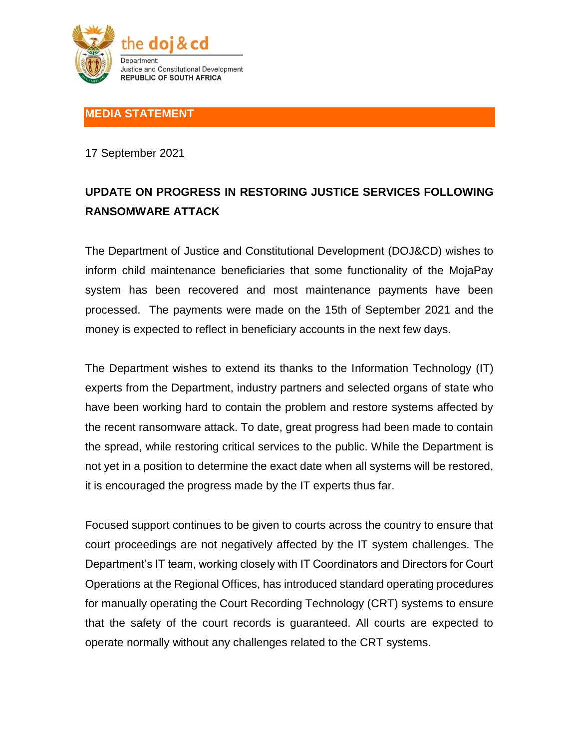

## **MEDIA STATEMENT**

17 September 2021

## **UPDATE ON PROGRESS IN RESTORING JUSTICE SERVICES FOLLOWING RANSOMWARE ATTACK**

The Department of Justice and Constitutional Development (DOJ&CD) wishes to inform child maintenance beneficiaries that some functionality of the MojaPay system has been recovered and most maintenance payments have been processed. The payments were made on the 15th of September 2021 and the money is expected to reflect in beneficiary accounts in the next few days.

The Department wishes to extend its thanks to the Information Technology (IT) experts from the Department, industry partners and selected organs of state who have been working hard to contain the problem and restore systems affected by the recent ransomware attack. To date, great progress had been made to contain the spread, while restoring critical services to the public. While the Department is not yet in a position to determine the exact date when all systems will be restored, it is encouraged the progress made by the IT experts thus far.

Focused support continues to be given to courts across the country to ensure that court proceedings are not negatively affected by the IT system challenges. The Department's IT team, working closely with IT Coordinators and Directors for Court Operations at the Regional Offices, has introduced standard operating procedures for manually operating the Court Recording Technology (CRT) systems to ensure that the safety of the court records is guaranteed. All courts are expected to operate normally without any challenges related to the CRT systems.